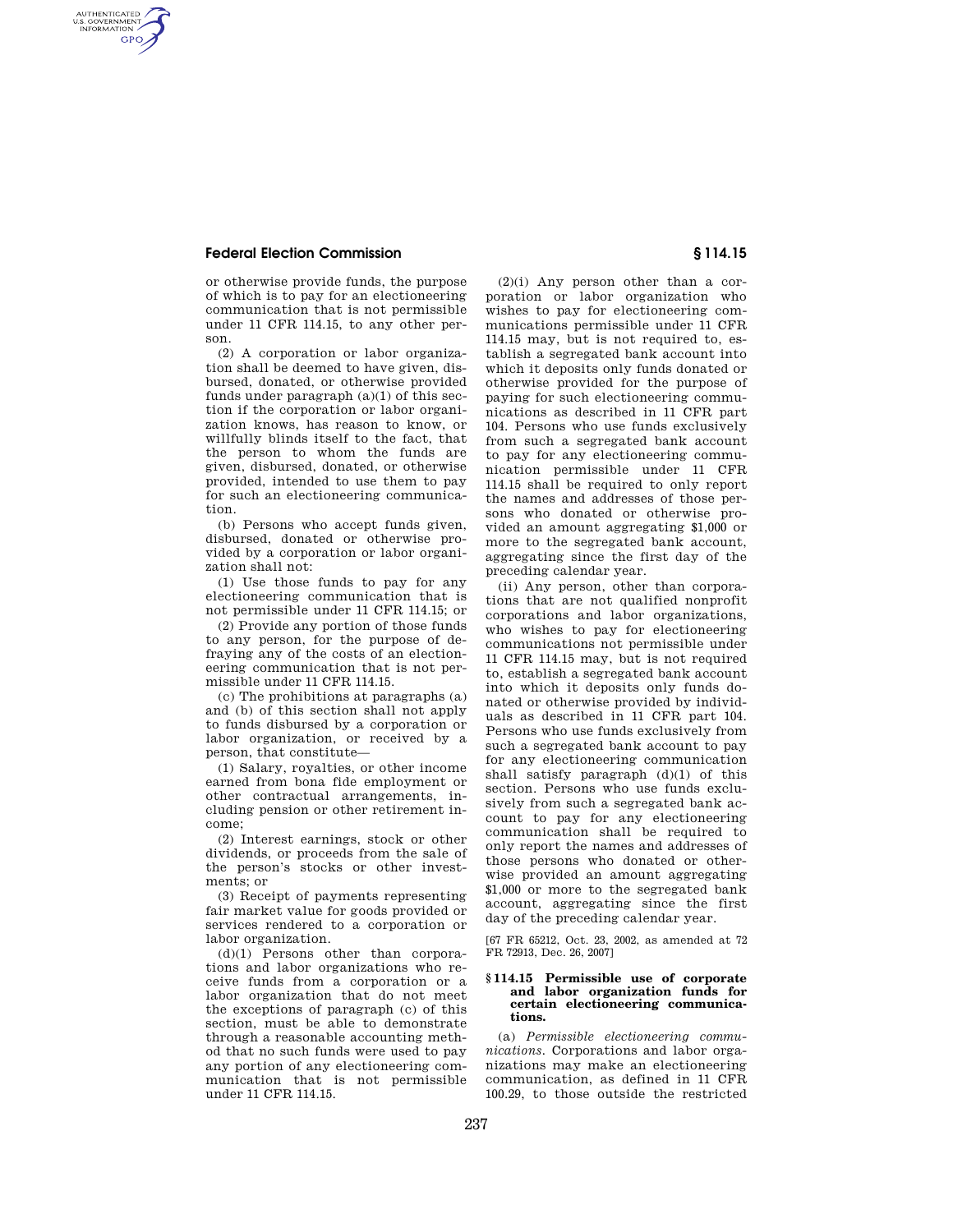## **Federal Election Commission § 114.15**

AUTHENTICATED<br>U.S. GOVERNMENT<br>INFORMATION GPO

> or otherwise provide funds, the purpose of which is to pay for an electioneering communication that is not permissible under 11 CFR 114.15, to any other person.

(2) A corporation or labor organization shall be deemed to have given, disbursed, donated, or otherwise provided funds under paragraph  $(a)(1)$  of this section if the corporation or labor organization knows, has reason to know, or willfully blinds itself to the fact, that the person to whom the funds are given, disbursed, donated, or otherwise provided, intended to use them to pay for such an electioneering communication.

(b) Persons who accept funds given, disbursed, donated or otherwise provided by a corporation or labor organization shall not:

(1) Use those funds to pay for any electioneering communication that is not permissible under 11 CFR 114.15; or

(2) Provide any portion of those funds to any person, for the purpose of defraying any of the costs of an electioneering communication that is not permissible under 11 CFR 114.15.

(c) The prohibitions at paragraphs (a) and (b) of this section shall not apply to funds disbursed by a corporation or labor organization, or received by a person, that constitute—

(1) Salary, royalties, or other income earned from bona fide employment or other contractual arrangements, including pension or other retirement income;

(2) Interest earnings, stock or other dividends, or proceeds from the sale of the person's stocks or other investments; or

(3) Receipt of payments representing fair market value for goods provided or services rendered to a corporation or labor organization.

(d)(1) Persons other than corporations and labor organizations who receive funds from a corporation or a labor organization that do not meet the exceptions of paragraph (c) of this section, must be able to demonstrate through a reasonable accounting method that no such funds were used to pay any portion of any electioneering communication that is not permissible under 11 CFR 114.15.

(2)(i) Any person other than a corporation or labor organization who wishes to pay for electioneering communications permissible under 11 CFR 114.15 may, but is not required to, establish a segregated bank account into which it deposits only funds donated or otherwise provided for the purpose of paying for such electioneering communications as described in 11 CFR part 104. Persons who use funds exclusively from such a segregated bank account to pay for any electioneering communication permissible under 11 CFR 114.15 shall be required to only report the names and addresses of those persons who donated or otherwise provided an amount aggregating \$1,000 or more to the segregated bank account, aggregating since the first day of the preceding calendar year.

(ii) Any person, other than corporations that are not qualified nonprofit corporations and labor organizations, who wishes to pay for electioneering communications not permissible under 11 CFR 114.15 may, but is not required to, establish a segregated bank account into which it deposits only funds donated or otherwise provided by individuals as described in 11 CFR part 104. Persons who use funds exclusively from such a segregated bank account to pay for any electioneering communication shall satisfy paragraph  $(d)(1)$  of this section. Persons who use funds exclusively from such a segregated bank account to pay for any electioneering communication shall be required to only report the names and addresses of those persons who donated or otherwise provided an amount aggregating \$1,000 or more to the segregated bank account, aggregating since the first day of the preceding calendar year.

[67 FR 65212, Oct. 23, 2002, as amended at 72 FR 72913, Dec. 26, 2007]

## **§ 114.15 Permissible use of corporate and labor organization funds for certain electioneering communications.**

(a) *Permissible electioneering communications.* Corporations and labor organizations may make an electioneering communication, as defined in 11 CFR 100.29, to those outside the restricted